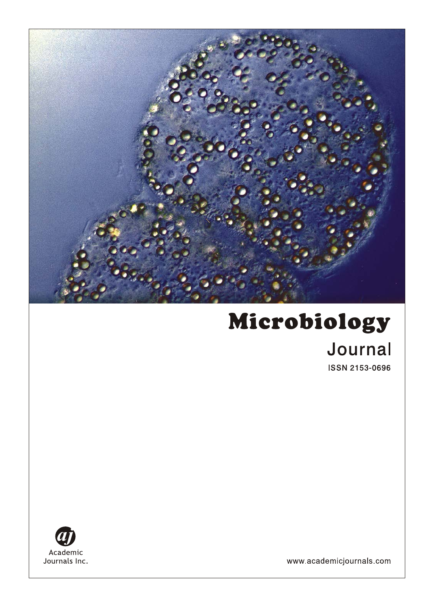

# Microbiology Journal **ISSN 2153-0696**



www.academicjournals.com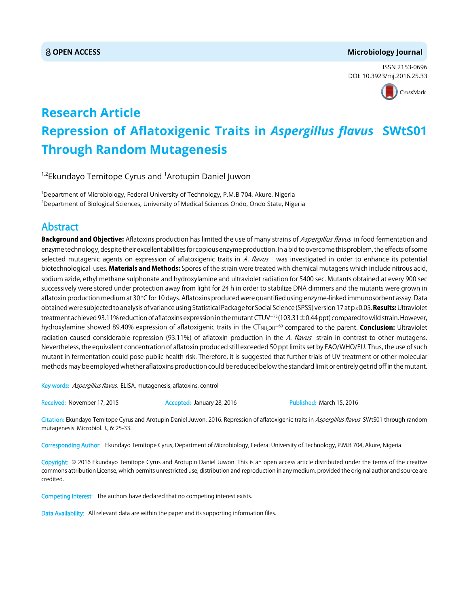#### **OPEN ACCESS Microbiology Journal**

ISSN 2153-0696 DOI: 10.3923/mj.2016.25.33



## **Research Article Repression of Aflatoxigenic Traits in** *Aspergillus flavus* **SWtS01 Through Random Mutagenesis**

<sup>1,2</sup>Ekundayo Temitope Cyrus and <sup>1</sup>Arotupin Daniel Juwon

1 Department of Microbiology, Federal University of Technology, P.M.B 704, Akure, Nigeria 2 Department of Biological Sciences, University of Medical Sciences Ondo, Ondo State, Nigeria

### Abstract

Background and Objective: Aflatoxins production has limited the use of many strains of Aspergillus flavus in food fermentation and enzyme technology, despite their excellent abilities for copious enzyme production. In a bid to overcome this problem, the effects of some selected mutagenic agents on expression of aflatoxigenic traits in A. flavus was investigated in order to enhance its potential biotechnological uses. Materials and Methods: Spores of the strain were treated with chemical mutagens which include nitrous acid, sodium azide, ethyl methane sulphonate and hydroxylamine and ultraviolet radiation for 5400 sec. Mutants obtained at every 900 sec successively were stored under protection away from light for 24 h in order to stabilize DNA dimmers and the mutants were grown in aflatoxin production medium at 30°C for 10 days. Aflatoxins produced were quantified using enzyme-linked immunosorbent assay. Data obtained were subjected to analysis of variance using Statistical Package for Social Science (SPSS) version 17 at p < 0.05. Results: Ultraviolet treatment achieved 93.11% reduction of aflatoxins expression in the mutant CTUV<sup>-75</sup> (103.31  $\pm$ 0.44 ppt) compared to wild strain. However, hydroxylamine showed 89.40% expression of aflatoxigenic traits in the  $CT_{NH,OH}$ <sup>-60</sup> compared to the parent. **Conclusion:** Ultraviolet radiation caused considerable repression (93.11%) of aflatoxin production in the A. flavus strain in contrast to other mutagens. Nevertheless, the equivalent concentration of aflatoxin produced still exceeded 50 ppt limits set by FAO/WHO/EU. Thus, the use of such mutant in fermentation could pose public health risk. Therefore, it is suggested that further trials of UV treatment or other molecular methods may be employed whether aflatoxins production could be reduced below the standard limit or entirely get rid off in the mutant.

Key words: Aspergillus flavus, ELISA, mutagenesis, aflatoxins, control

Received: November 17, 2015 **Accepted: January 28, 2016** Published: March 15, 2016

Citation: Ekundayo Temitope Cyrus and Arotupin Daniel Juwon, 2016. Repression of aflatoxigenic traits in Aspergillus flavus SWtS01 through random mutagenesis. Microbiol. J., 6: 25-33.

Corresponding Author: Ekundayo Temitope Cyrus, Department of Microbiology, Federal University of Technology, P.M.B 704, Akure, Nigeria

Copyright: © 2016 Ekundayo Temitope Cyrus and Arotupin Daniel Juwon. This is an open access article distributed under the terms of the creative commons attribution License, which permits unrestricted use, distribution and reproduction in any medium, provided the original author and source are credited.

Competing Interest: The authors have declared that no competing interest exists.

Data Availability: All relevant data are within the paper and its supporting information files.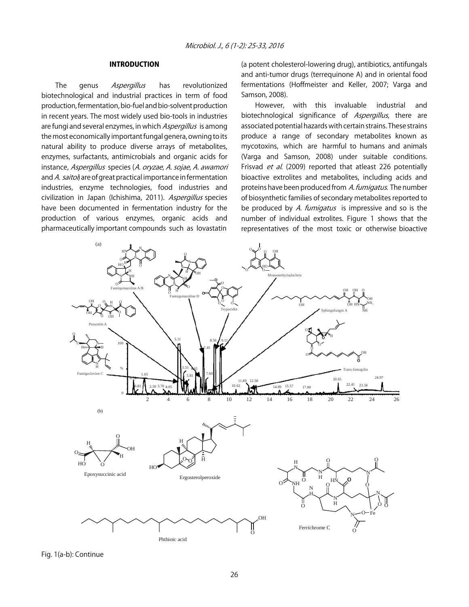#### INTRODUCTION

The genus Aspergillus has revolutionized biotechnological and industrial practices in term of food production, fermentation, bio-fuel and bio-solvent production in recent years. The most widely used bio-tools in industries are fungi and several enzymes, in which Aspergillus is among the most economically important fungal genera, owning to its natural ability to produce diverse arrays of metabolites, enzymes, surfactants, antimicrobials and organic acids for instance, Aspergillus species (A. oryzae, A. sojae, A. awamori and A. saitoi) are of great practical importance in fermentation industries, enzyme technologies, food industries and civilization in Japan (Ichishima, 2011). Aspergillus species have been documented in fermentation industry for the production of various enzymes, organic acids and pharmaceutically important compounds such as lovastatin

(a potent cholesterol-lowering drug), antibiotics, antifungals and anti-tumor drugs (terrequinone A) and in oriental food fermentations (Hoffmeister and Keller, 2007; Varga and Samson, 2008).

However, with this invaluable industrial and biotechnological significance of *Aspergillus*, there are associated potential hazards with certain strains. These strains produce a range of secondary metabolites known as mycotoxins, which are harmful to humans and animals (Varga and Samson, 2008) under suitable conditions. Frisvad *et al.* (2009) reported that atleast 226 potentially bioactive extrolites and metabolites, including acids and proteins have been produced from A. fumigatus. The number of biosynthetic families of secondary metabolites reported to be produced by A. fumigatus is impressive and so is the number of individual extrolites. Figure 1 shows that the representatives of the most toxic or otherwise bioactive



Fig. 1(a-b): Continue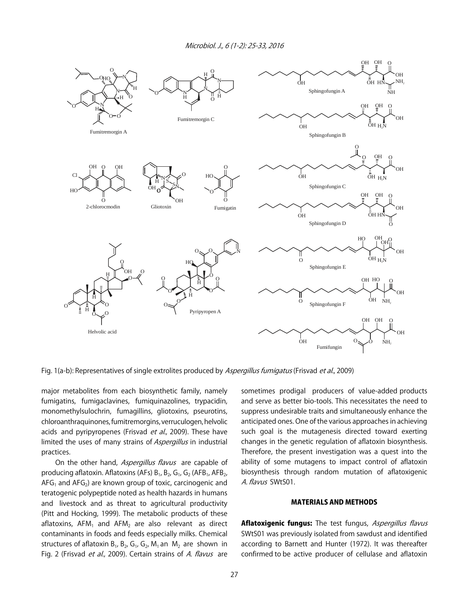

Fig. 1(a-b): Representatives of single extrolites produced by Aspergillus fumigatus (Frisvad et al., 2009)

major metabolites from each biosynthetic family, namely fumigatins, fumigaclavines, fumiquinazolines, trypacidin, monomethylsulochrin, fumagillins, gliotoxins, pseurotins, chloroanthraquinones, fumitremorgins, verruculogen, helvolic acids and pyripyropenes (Frisvad et al., 2009). These have limited the uses of many strains of Aspergillus in industrial practices.

On the other hand, Aspergillus flavus are capable of producing aflatoxin. Aflatoxins (AFs)  $B_1$ ,  $B_2$ ,  $G_1$ ,  $G_2$  (AFB<sub>1</sub>, AFB<sub>2</sub>,  $AFG<sub>1</sub>$  and  $AFG<sub>2</sub>$ ) are known group of toxic, carcinogenic and teratogenic polypeptide noted as health hazards in humans and livestock and as threat to agricultural productivity (Pitt and Hocking, 1999). The metabolic products of these aflatoxins,  $AFM<sub>1</sub>$  and  $AFM<sub>2</sub>$  are also relevant as direct contaminants in foods and feeds especially milks. Chemical structures of aflatoxin  $B_1$ ,  $B_2$ ,  $G_1$ ,  $G_2$ ,  $M_1$  an  $M_2$  are shown in Fig. 2 (Frisvad et al., 2009). Certain strains of A. flavus are sometimes prodigal producers of value-added products and serve as better bio-tools. This necessitates the need to suppress undesirable traits and simultaneously enhance the anticipated ones. One of the various approaches in achieving such goal is the mutagenesis directed toward exerting changes in the genetic regulation of aflatoxin biosynthesis. Therefore, the present investigation was a quest into the ability of some mutagens to impact control of aflatoxin biosynthesis through random mutation of aflatoxigenic A. flavus SWtS01.

#### MATERIALS AND METHODS

Aflatoxigenic fungus: The test fungus, Aspergillus flavus SWtS01 was previously isolated from sawdust and identified according to Barnett and Hunter (1972). It was thereafter confirmed to be active producer of cellulase and aflatoxin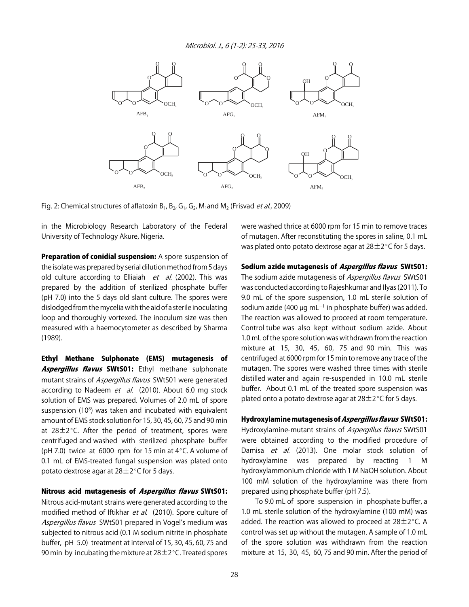Microbiol. J., 6 (1-2): 25-33, 2016



Fig. 2: Chemical structures of aflatoxin  $B_1$ ,  $B_2$ ,  $G_1$ ,  $G_2$ ,  $M_1$ and  $M_2$  (Frisvad *et al.*, 2009)

in the Microbiology Research Laboratory of the Federal University of Technology Akure, Nigeria.

Preparation of conidial suspension: A spore suspension of the isolate was prepared by serial dilution method from 5 days old culture according to Elliaiah  $et$  al. (2002). This was prepared by the addition of sterilized phosphate buffer (pH 7.0) into the 5 days old slant culture. The spores were dislodged from the mycelia with the aid of a sterile inoculating loop and thoroughly vortexed. The inoculum size was then measured with a haemocytometer as described by Sharma (1989).

Ethyl Methane Sulphonate (EMS) mutagenesis of Aspergillus flavus SWtS01: Ethyl methane sulphonate mutant strains of Aspergillus flavus SWtS01 were generated according to Nadeem et al. (2010). About 6.0 mg stock solution of EMS was prepared. Volumes of 2.0 mL of spore suspension (10<sup>8</sup>) was taken and incubated with equivalent amount of EMS stock solution for 15, 30, 45, 60, 75 and 90 min at  $28\pm2^{\circ}$ C. After the period of treatment, spores were centrifuged and washed with sterilized phosphate buffer (pH 7.0) twice at 6000 rpm for 15 min at  $4^{\circ}$ C. A volume of 0.1 mL of EMS-treated fungal suspension was plated onto potato dextrose agar at  $28\pm2^{\circ}$ C for 5 days.

#### Nitrous acid mutagenesis of Aspergillus flavus SWtS01:

Nitrous acid-mutant strains were generated according to the modified method of Iftikhar et al. (2010). Spore culture of Aspergillus flavus SWtS01 prepared in Vogel's medium was subjected to nitrous acid (0.1 M sodium nitrite in phosphate buffer, pH 5.0) treatment at interval of 15, 30, 45, 60, 75 and 90 min by incubating the mixture at  $28\pm2^{\circ}$ C. Treated spores

were washed thrice at 6000 rpm for 15 min to remove traces of mutagen. After reconstituting the spores in saline, 0.1 mL was plated onto potato dextrose agar at  $28\pm2^{\circ}$ C for 5 days.

#### Sodium azide mutagenesis of Aspergillus flavus SWtS01:

The sodium azide mutagenesis of Aspergillus flavus SWtS01 was conducted according to Rajeshkumar and Ilyas (2011). To 9.0 mL of the spore suspension, 1.0 mL sterile solution of sodium azide (400 µg mL<sup>-1</sup> in phosphate buffer) was added. The reaction was allowed to proceed at room temperature. Control tube was also kept without sodium azide. About 1.0 mL of the spore solution was withdrawn from the reaction mixture at 15, 30, 45, 60, 75 and 90 min. This was centrifuged at 6000 rpm for 15 min to remove any trace of the mutagen. The spores were washed three times with sterile distilled water and again re-suspended in 10.0 mL sterile buffer. About 0.1 mL of the treated spore suspension was plated onto a potato dextrose agar at  $28\pm2^{\circ}$ C for 5 days.

#### Hydroxylamine mutagenesis of Aspergillus flavus SWtS01:

Hydroxylamine-mutant strains of Aspergillus flavus SWtS01 were obtained according to the modified procedure of Damisa et al. (2013). One molar stock solution of hydroxylamine was prepared by reacting 1 M hydroxylammonium chloride with 1 M NaOH solution. About 100 mM solution of the hydroxylamine was there from prepared using phosphate buffer (pH 7.5).

 To 9.0 mL of spore suspension in phosphate buffer, a 1.0 mL sterile solution of the hydroxylamine (100 mM) was added. The reaction was allowed to proceed at  $28\pm2^{\circ}$ C. A control was set up without the mutagen. A sample of 1.0 mL of the spore solution was withdrawn from the reaction mixture at 15, 30, 45, 60, 75 and 90 min. After the period of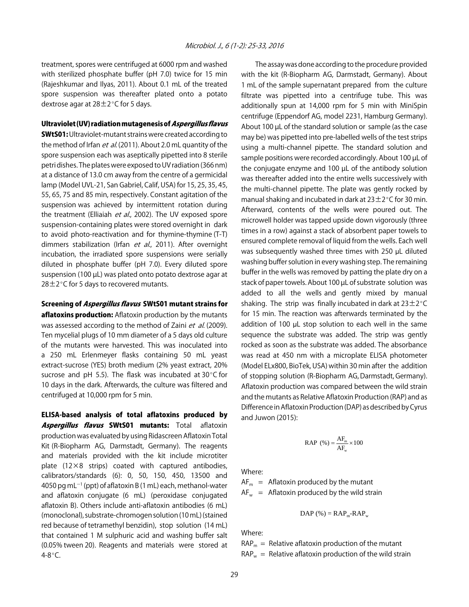treatment, spores were centrifuged at 6000 rpm and washed with sterilized phosphate buffer (pH 7.0) twice for 15 min (Rajeshkumar and Ilyas, 2011). About 0.1 mL of the treated spore suspension was thereafter plated onto a potato dextrose agar at  $28\pm2^{\circ}$ C for 5 days.

#### Ultraviolet (UV) radiation mutagenesis of Aspergillus flavus

**SWtS01:** Ultraviolet-mutant strains were created according to the method of Irfan *et al.* (2011). About 2.0 mL quantity of the spore suspension each was aseptically pipetted into 8 sterile petri dishes. The plates were exposed to UV radiation (366 nm) at a distance of 13.0 cm away from the centre of a germicidal lamp (Model UVL-21, San Gabriel, Calif, USA) for 15, 25, 35, 45, 55, 65, 75 and 85 min, respectively. Constant agitation of the suspension was achieved by intermittent rotation during the treatment (Elliaiah et al., 2002). The UV exposed spore suspension-containing plates were stored overnight in dark to avoid photo-reactivation and for thymine-thymine (T-T) dimmers stabilization (Irfan et al., 2011). After overnight incubation, the irradiated spore suspensions were serially diluted in phosphate buffer (pH 7.0). Every diluted spore suspension (100 µL) was plated onto potato dextrose agar at  $28\pm2^{\circ}$ C for 5 days to recovered mutants.

#### Screening of Aspergillus flavus SWtS01 mutant strains for

aflatoxins production: Aflatoxin production by the mutants was assessed according to the method of Zaini et al. (2009). Ten mycelial plugs of 10 mm diameter of a 5 days old culture of the mutants were harvested. This was inoculated into a 250 mL Erlenmeyer flasks containing 50 mL yeast extract-sucrose (YES) broth medium (2% yeast extract, 20% sucrose and pH 5.5). The flask was incubated at  $30^{\circ}$ C for 10 days in the dark. Afterwards, the culture was filtered and centrifuged at 10,000 rpm for 5 min.

ELISA-based analysis of total aflatoxins produced by Aspergillus flavus SWtS01 mutants: Total aflatoxin production was evaluated by using Ridascreen Aflatoxin Total Kit (R-Biopharm AG, Darmstadt, Germany). The reagents and materials provided with the kit include microtiter plate (12×8 strips) coated with captured antibodies, calibrators/standards (6): 0, 50, 150, 450, 13500 and  $4050$  pg mL<sup>-1</sup> (ppt) of aflatoxin B (1 mL) each, methanol-water and aflatoxin conjugate (6 mL) (peroxidase conjugated aflatoxin B). Others include anti-aflatoxin antibodies (6 mL) (monoclonal), substrate-chromogen solution (10 mL) (stained red because of tetramethyl benzidin), stop solution (14 mL) that contained 1 M sulphuric acid and washing buffer salt (0.05% tween 20). Reagents and materials were stored at  $4 - 8$ °C.

The assay was done according to the procedure provided with the kit (R-Biopharm AG, Darmstadt, Germany). About 1 mL of the sample supernatant prepared from the culture filtrate was pipetted into a centrifuge tube. This was additionally spun at 14,000 rpm for 5 min with MiniSpin centrifuge (Eppendorf AG, model 2231, Hamburg Germany). About 100 µL of the standard solution or sample (as the case may be) was pipetted into pre-labelled wells of the test strips using a multi-channel pipette. The standard solution and sample positions were recorded accordingly. About 100 µL of the conjugate enzyme and 100 µL of the antibody solution was thereafter added into the entire wells successively with the multi-channel pipette. The plate was gently rocked by manual shaking and incubated in dark at  $23\pm2^{\circ}$ C for 30 min. Afterward, contents of the wells were poured out. The microwell holder was tapped upside down vigorously (three times in a row) against a stack of absorbent paper towels to ensured complete removal of liquid from the wells. Each well was subsequently washed three times with 250 µL diluted washing buffer solution in every washing step. The remaining buffer in the wells was removed by patting the plate dry on a stack of paper towels. About 100 µL of substrate solution was added to all the wells and gently mixed by manual shaking. The strip was finally incubated in dark at  $23\pm2^{\circ}C$ for 15 min. The reaction was afterwards terminated by the addition of 100  $\mu$ L stop solution to each well in the same sequence the substrate was added. The strip was gently rocked as soon as the substrate was added. The absorbance was read at 450 nm with a microplate ELISA photometer (Model ELx800, BioTek, USA) within 30 min after the addition of stopping solution (R-Biopharm AG, Darmstadt, Germany). Aflatoxin production was compared between the wild strain and the mutants as Relative Aflatoxin Production (RAP) and as Difference in Aflatoxin Production (DAP) as described by Cyrus and Juwon (2015):

$$
RAP (%) = \frac{AF_{m}}{AF_{w}} \times 100
$$

Where:

 $AF<sub>m</sub>$  = Aflatoxin produced by the mutant  $AF_w$  = Aflatoxin produced by the wild strain

$$
DAP\left(\% \right) = RAP_m-RAP_w
$$

Where:

 $RAP_m =$  Relative aflatoxin production of the mutant  $RAP_w$  = Relative aflatoxin production of the wild strain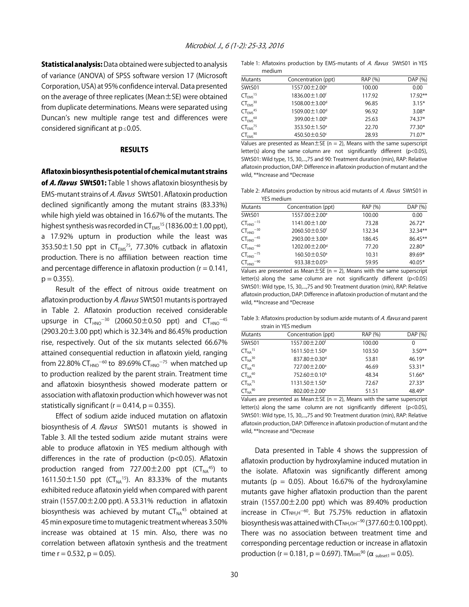**Statistical analysis:** Data obtained were subjected to analysis of variance (ANOVA) of SPSS software version 17 (Microsoft Corporation, USA) at 95% confidence interval. Data presented on the average of three replicates (Mean±SE) were obtained from duplicate determinations. Means were separated using Duncan's new multiple range test and differences were considered significant at  $p \le 0.05$ .

#### RESULTS

#### Aflatoxin biosynthesis potential of chemical mutant strains

of A. flavus SWtS01: Table 1 shows aflatoxin biosynthesis by EMS-mutant strains of A. flavus SWtS01. Aflatoxin production declined significantly among the mutant strains (83.33%) while high yield was obtained in 16.67% of the mutants. The highest synthesis was recorded in  $CT_{FMS}$ <sup>15</sup> (1836.00  $\pm$  1.00 ppt), a 17.92% upturn in production while the least was 353.50 $\pm$ 1.50 ppt in CT<sub>EMS</sub><sup>75</sup>, 77.30% cutback in aflatoxin production. There is no affiliation between reaction time and percentage difference in aflatoxin production ( $r = 0.141$ ,  $p = 0.355$ ).

Result of the effect of nitrous oxide treatment on aflatoxin production by A. flavus SWtS01 mutants is portrayed in Table 2. Aflatoxin production received considerable upsurge in  $CT_{HNO}^{-30}$  (2060.50 $\pm$ 0.50 ppt) and  $CT_{HNO}^{-45}$ (2903.20 $\pm$ 3.00 ppt) which is 32.34% and 86.45% production rise, respectively. Out of the six mutants selected 66.67% attained consequential reduction in aflatoxin yield, ranging from 22.80% CT<sub>HNO</sub><sup>-60</sup> to 89.69% CT<sub>HNO</sub><sup>-75</sup> when matched up to production realized by the parent strain. Treatment time and aflatoxin biosynthesis showed moderate pattern or association with aflatoxin production which however was not statistically significant ( $r = 0.414$ ,  $p = 0.355$ ).

Effect of sodium azide induced mutation on aflatoxin biosynthesis of A. flavus SWtS01 mutants is showed in Table 3. All the tested sodium azide mutant strains were able to produce aflatoxin in YES medium although with differences in the rate of production (p<0.05). Aflatoxin production ranged from  $727.00 \pm 2.00$  ppt  $(CT<sub>NA</sub><sup>45</sup>)$  to 1611.50 $\pm$ 1.50 ppt (CT<sub>NA</sub><sup>15</sup>). An 83.33% of the mutants exhibited reduce aflatoxin yield when compared with parent strain (1557.00 $\pm$ 2.00 ppt). A 53.31% reduction in aflatoxin biosynthesis was achieved by mutant  $CT_{NA}^{45}$  obtained at 45 min exposure time to mutagenic treatment whereas 3.50% increase was obtained at 15 min. Also, there was no correlation between aflatoxin synthesis and the treatment time  $r = 0.532$ ,  $p = 0.05$ ).

Table 1: Aflatoxins production by EMS-mutants of A. flavus SWtS01 in YES medium

| <b>Mutants</b>                  | Concentration (ppt)         | RAP (%) | DAP (%)   |
|---------------------------------|-----------------------------|---------|-----------|
| SWtS01                          | 1557.00 ± 2.00 <sup>e</sup> | 100.00  | 0.00      |
| $CT_{FMS}$ <sup>15</sup>        | 1836.00 ± 1.00 <sup>f</sup> | 117.92  | $17.92**$ |
| $CT_{FMS}$ <sup>30</sup>        | 1508.00±3.00 <sup>d</sup>   | 96.85   | $3.15*$   |
| CT <sub>FMS</sub> <sup>45</sup> | 1509.00 ± 1.00 <sup>d</sup> | 96.92   | $3.08*$   |
| $CT_{FMS}$ <sup>60</sup>        | 399.00 ± 1.00 <sup>b</sup>  | 25.63   | 74.37*    |
| CT <sub>FMS</sub> <sup>75</sup> | 353.50 ± 1.50 <sup>a</sup>  | 22.70   | $77.30*$  |
| $CT_{EMS}$ <sup>90</sup>        | 450.50±0.50c                | 28.93   | 71.07*    |

Values are presented as Mean $\pm$ SE (n = 2), Means with the same superscript letter(s) along the same column are not significantly different (p<0.05), SWtS01: Wild type, 15, 30,...,75 and 90: Treatment duration (min), RAP: Relative aflatoxin production, DAP: Difference in aflatoxin production of mutant and the wild, \*\*Increase and \*Decrease

Table 2: Aflatoxins production by nitrous acid mutants of A. flavus SWtS01 in YES medium

| <b>Mutants</b>            | Concentration (ppt)         | RAP (%) | DAP (%)    |
|---------------------------|-----------------------------|---------|------------|
| SWtS01                    | 1557.00 ± 2.00 <sup>e</sup> | 100.00  | 0.00       |
| $CT_{HNO}$ <sup>-15</sup> | 1141.00 ± 1.00 <sup>c</sup> | 73.28   | $26.72*$   |
| $CTHNO - 30$              | 2060.50 ± 0.50 <sup>f</sup> | 132.34  | $32.34**$  |
| $CT_{HNO}$ <sup>-45</sup> | 2903.00 ± 3.00 <sup>9</sup> | 186.45  | $86.45***$ |
| $CT_{HNO}$ -60            | 1202.00 ± 2.00 <sup>d</sup> | 77.20   | 22.80*     |
| $CT_{HNO}$ <sup>-75</sup> | 160.50±0.50 <sup>a</sup>    | 10.31   | 89.69*     |
| $CT_{HNO}$ <sup>-90</sup> | 933.38±0.05 <sup>b</sup>    | 59.95   | 40.05*     |

Values are presented as Mean $\pm$ SE (n = 2), Means with the same superscript letter(s) along the same column are not significantly different (p<0.05) SWtS01: Wild type, 15, 30,...,75 and 90: Treatment duration (min), RAP: Relative aflatoxin production, DAP: Difference in aflatoxin production of mutant and the wild, \*\*Increase and \*Decrease

Table 3: Aflatoxins production by sodium azide mutants of A. flavus and parent strain in YES medium

| <b>Mutants</b>                 | Concentration (ppt)            | RAP (%) | DAP (%)  |
|--------------------------------|--------------------------------|---------|----------|
| SWtS01                         | 1557.00 ± 2.00 <sup>f</sup>    | 100.00  | 0        |
| $CT_{NA}$ <sup>15</sup>        | 1611.50 ± 1.50 <sup>9</sup>    | 103.50  | $3.50**$ |
| $CT_{NA}^{30}$                 | 837.80±0.30 <sup>d</sup>       | 53.81   | $46.19*$ |
| $CT_{NA}^{45}$                 | 727.00 ± 2.00 <sup>a</sup>     | 46.69   | $53.31*$ |
| CT <sub>NA</sub> 60            | 752.60±0.10 <sup>b</sup>       | 48.34   | $51.66*$ |
| CT <sub>NA</sub> <sup>75</sup> | $1131.50 \pm 1.50^e$           | 72.67   | $27.33*$ |
| CT <sub>NA</sub> 90            | $802.00 \pm 2.00$ <sup>c</sup> | 51.51   | 48.49*   |

Values are presented as Mean $\pm$ SE (n = 2), Means with the same superscript letter(s) along the same column are not significantly different (p<0.05), SWtS01: Wild type, 15, 30,...,75 and 90: Treatment duration (min), RAP: Relative aflatoxin production, DAP: Difference in aflatoxin production of mutant and the wild, \*\*Increase and \*Decrease

Data presented in Table 4 shows the suppression of aflatoxin production by hydroxylamine induced mutation in the isolate. Aflatoxin was significantly different among mutants ( $p = 0.05$ ). About 16.67% of the hydroxylamine mutants gave higher aflatoxin production than the parent strain (1557.00 $\pm$ 2.00 ppt) which was 89.40% production  $increases$  in  $CT<sub>NH<sub>2</sub>H<sup>-60</sup></sub>$ . But 75.75% reduction in aflatoxin biosynthesis was attained with  $CT<sub>NH<sub>2</sub>OH<sup>-90</sup></sub> (377.60 $\pm$ 0.100$  ppt). There was no association between treatment time and corresponding percentage reduction or increase in aflatoxin production (r = 0.181, p = 0.697). TMEMS<sup>90</sup> ( $\alpha_{\text{subset1}}$  = 0.05).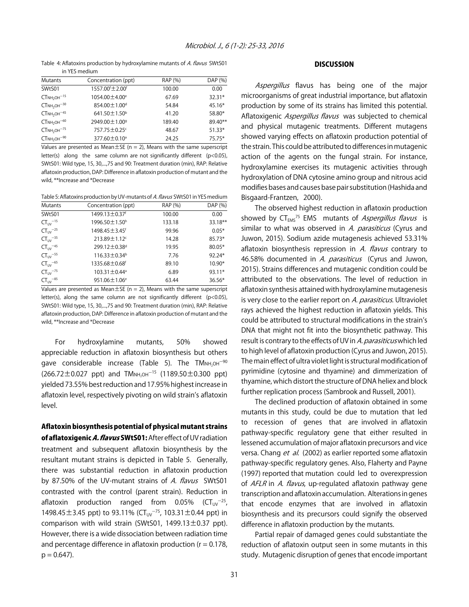Table 4: Aflatoxins production by hydroxylamine mutants of A. flavus SWtS01 in YES medium

| <b>Mutants</b> | Concentration (ppt)                     | RAP (%) | DAP (%)  |
|----------------|-----------------------------------------|---------|----------|
| SWtS01         | 1557.00 <sup>f</sup> ±2.00 <sup>f</sup> | 100.00  | 0.00     |
| $CTNH2OH-15$   | 1054.00 ± 4.00 <sup>e</sup>             | 67.69   | $32.31*$ |
| $CTNH2OH-30$   | 854.00 ± 1.00 <sup>d</sup>              | 54.84   | $45.16*$ |
| $CTNH2OH-45$   | 641.50 $\pm$ 1.50 <sup>b</sup>          | 41.20   | 58.80*   |
| $CTNH2OH-60$   | 2949.00 ± 1.00 <sup>9</sup>             | 189.40  | 8940**   |
| $CTNH2OH-75$   | 757.75 ± 0.25c                          | 48.67   | $51.33*$ |
| $CTNH2OH-90$   | 377.60 ± 0.10 <sup>a</sup>              | 24.25   | $75.75*$ |

Values are presented as Mean $\pm$ SE (n = 2), Means with the same superscript letter(s) along the same column are not significantly different (p<0.05), SWtS01: Wild type, 15, 30,...,75 and 90: Treatment duration (min), RAP: Relative aflatoxin production, DAP: Difference in aflatoxin production of mutant and the wild, \*\*Increase and \*Decrease

Table 5: Aflatoxins production by UV-mutants of A. flavus SWtS01 in YES medium

| <b>Mutants</b>           | Concentration (ppt)            | RAP (%) | DAP (%)  |
|--------------------------|--------------------------------|---------|----------|
| SWtS01                   | 1499.13 ± 0.37f                | 100.00  | 0.00     |
| $CT_{UV}$ <sup>-15</sup> | 1996.50 ± 1.50 <sup>h</sup>    | 133.18  | 33.18**  |
| $CT_{UV}$ <sup>-25</sup> | 1498.45 ± 3.45 <sup>f</sup>    | 99.96   | $0.05*$  |
| $CT_{UV}$ <sup>-35</sup> | 213.89±1.12c                   | 14.28   | $85.73*$ |
| $CT_{UV}$ <sup>-45</sup> | 299.12±0.38 <sup>d</sup>       | 19.95   | 80.05*   |
| $CT_{UV}$ <sup>-55</sup> | $116.33 \pm 0.34^b$            | 7.76    | 92.24*   |
| $CT_{UV}$ <sup>-65</sup> | 1335.68±0.68f                  | 89.10   | $10.90*$ |
| $CT_{UV}$ <sup>-75</sup> | 103.31±0.44 <sup>a</sup>       | 6.89    | 93.11*   |
| $CT_{UV}$ <sup>-85</sup> | $951.06 \pm 1.06$ <sup>e</sup> | 63.44   | $36.56*$ |

Values are presented as Mean $\pm$ SE (n = 2), Means with the same superscript letter(s), along the same column are not significantly different (p<0.05), SWtS01: Wild type, 15, 30,...,75 and 90: Treatment duration (min), RAP: Relative aflatoxin production, DAP: Difference in aflatoxin production of mutant and the wild, \*\*Increase and \*Decrease

For hydroxylamine mutants, 50% showed appreciable reduction in aflatoxin biosynthesis but others gave considerable increase (Table 5). The  $TM_{NH_2OH}^{-90}$  $(266.72 \pm 0.027 \text{ ppt})$  and TMNH<sub>2OH</sub><sup>-15</sup> (1189.50 $\pm$ 0.300 ppt) yielded 73.55% best reduction and 17.95% highest increase in aflatoxin level, respectively pivoting on wild strain's aflatoxin level.

Aflatoxin biosynthesis potential of physical mutant strains of aflatoxigenic A. flavus SWtS01: After effect of UV radiation treatment and subsequent aflatoxin biosynthesis by the resultant mutant strains is depicted in Table 5. Generally, there was substantial reduction in aflatoxin production by 87.50% of the UV-mutant strains of A. flavus SWtS01 contrasted with the control (parent strain). Reduction in aflatoxin production ranged from 0.05% ( $CT_{UV}^{-25}$ , 1498.45 $\pm$ 3.45 ppt) to 93.11% (CT<sub>UV</sub><sup>-75</sup>, 103.31 $\pm$ 0.44 ppt) in comparison with wild strain (SWtS01,  $1499.13 \pm 0.37$  ppt). However, there is a wide dissociation between radiation time and percentage difference in aflatoxin production ( $r = 0.178$ ,  $p = 0.647$ ).

#### **DISCUSSION**

Aspergillus flavus has being one of the major microorganisms of great industrial importance, but aflatoxin production by some of its strains has limited this potential. Aflatoxigenic Aspergillus flavus was subjected to chemical and physical mutagenic treatments. Different mutagens showed varying effects on aflatoxin production potential of the strain. This could be attributed to differences in mutagenic action of the agents on the fungal strain. For instance, hydroxylamine exercises its mutagenic activities through hydroxylation of DNA cytosine amino group and nitrous acid modifies bases and causes base pair substitution (Hashida and Bisgaard-Frantzen, 2000).

The observed highest reduction in aflatoxin production showed by  $CT_{FMS}^{75}$  EMS mutants of Aspergillus flavus is similar to what was observed in A. parasiticus (Cyrus and Juwon, 2015). Sodium azide mutagenesis achieved 53.31% aflatoxin biosynthesis repression in A. flavus contrary to 46.58% documented in A. parasiticus (Cyrus and Juwon, 2015). Strains differences and mutagenic condition could be attributed to the observations. The level of reduction in aflatoxin synthesis attained with hydroxylamine mutagenesis is very close to the earlier report on A. parasiticus. Ultraviolet rays achieved the highest reduction in aflatoxin yields. This could be attributed to structural modifications in the strain's DNA that might not fit into the biosynthetic pathway. This result is contrary to the effects of UV in A. parasiticus which led to high level of aflatoxin production (Cyrus and Juwon, 2015). The main effect of ultra violet light is structural modification of pyrimidine (cytosine and thyamine) and dimmerization of thyamine, which distort the structure of DNA heliex and block further replication process (Sambrook and Russell, 2001).

The declined production of aflatoxin obtained in some mutants in this study, could be due to mutation that led to recession of genes that are involved in aflatoxin pathway-specific regulatory gene that either resulted in lessened accumulation of major aflatoxin precursors and vice versa. Chang et al. (2002) as earlier reported some aflatoxin pathway-specific regulatory genes. Also, Flaherty and Payne (1997) reported that mutation could led to overexpression of AFLR in A. flavus, up-regulated aflatoxin pathway gene transcription and aflatoxin accumulation. Alterations in genes that encode enzymes that are involved in aflatoxin biosynthesis and its precursors could signify the observed difference in aflatoxin production by the mutants.

Partial repair of damaged genes could substantiate the reduction of aflatoxin output seen in some mutants in this study. Mutagenic disruption of genes that encode important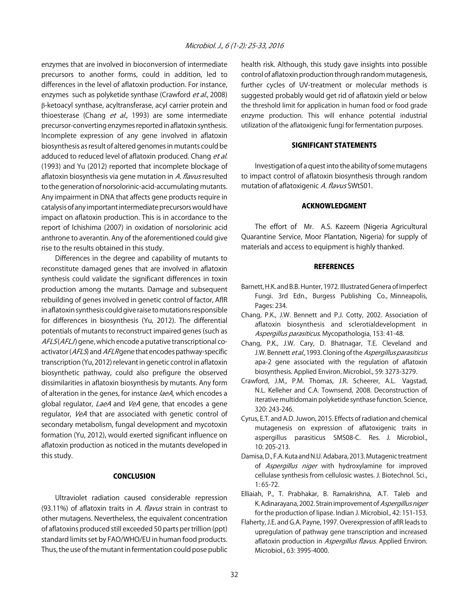enzymes that are involved in bioconversion of intermediate precursors to another forms, could in addition, led to differences in the level of aflatoxin production. For instance, enzymes such as polyketide synthase (Crawford et al., 2008) β-ketoacyl synthase, acyltransferase, acyl carrier protein and thioesterase (Chang et al., 1993) are some intermediate precursor-converting enzymes reported in aflatoxin synthesis. Incomplete expression of any gene involved in aflatoxin biosynthesis as result of altered genomes in mutants could be adduced to reduced level of aflatoxin produced. Chang et al. (1993) and Yu (2012) reported that incomplete blockage of aflatoxin biosynthesis via gene mutation in A. flavus resulted to the generation of norsolorinic-acid-accumulating mutants. Any impairment in DNA that affects gene products require in catalysis of any important intermediate precursors would have impact on aflatoxin production. This is in accordance to the report of Ichishima (2007) in oxidation of norsolorinic acid anthrone to averantin. Any of the aforementioned could give rise to the results obtained in this study.

Differences in the degree and capability of mutants to reconstitute damaged genes that are involved in aflatoxin synthesis could validate the significant differences in toxin production among the mutants. Damage and subsequent rebuilding of genes involved in genetic control of factor, AflR in aflatoxin synthesis could give raise to mutations responsible for differences in biosynthesis (Yu, 2012). The differential potentials of mutants to reconstruct impaired genes (such as  $AFLS(AFLJ)$  gene, which encode a putative transcriptional coactivator ( $AFLS$ ) and  $AFLR$  gene that encodes pathway-specific transcription (Yu, 2012) relevant in genetic control in aflatoxin biosynthetic pathway, could also prefigure the observed dissimilarities in aflatoxin biosynthesis by mutants. Any form of alteration in the genes, for instance laeA, which encodes a global regulator, LaeA and VeA gene, that encodes a gene regulator, VeA that are associated with genetic control of secondary metabolism, fungal development and mycotoxin formation (Yu, 2012), would exerted significant influence on aflatoxin production as noticed in the mutants developed in this study.

#### **CONCLUSION**

Ultraviolet radiation caused considerable repression (93.11%) of aflatoxin traits in A. flavus strain in contrast to other mutagens. Nevertheless, the equivalent concentration of aflatoxins produced still exceeded 50 parts per trillion (ppt) standard limits set by FAO/WHO/EU in human food products. Thus, the use of the mutant in fermentation could pose public

health risk. Although, this study gave insights into possible control of aflatoxin production through random mutagenesis, further cycles of UV-treatment or molecular methods is suggested probably would get rid of aflatoxin yield or below the threshold limit for application in human food or food grade enzyme production. This will enhance potential industrial utilization of the aflatoxigenic fungi for fermentation purposes.

#### SIGNIFICANT STATEMENTS

Investigation of a quest into the ability of some mutagens to impact control of aflatoxin biosynthesis through random mutation of aflatoxigenic A. flavus SWtS01.

#### ACKNOWLEDGMENT

The effort of Mr. A.S. Kazeem (Nigeria Agricultural Quarantine Service, Moor Plantation, Nigeria) for supply of materials and access to equipment is highly thanked.

#### **REFERENCES**

- Barnett, H.K. and B.B. Hunter, 1972. Illustrated Genera of Imperfect Fungi. 3rd Edn., Burgess Publishing Co., Minneapolis, Pages: 234.
- Chang, P.K., J.W. Bennett and P.J. Cotty, 2002. Association of aflatoxin biosynthesis and sclerotialdevelopment in Aspergillus parasiticus. Mycopathologia, 153: 41-48.
- Chang, P.K., J.W. Cary, D. Bhatnagar, T.E. Cleveland and J.W. Bennett et al., 1993. Cloning of the Aspergillus parasiticus apa-2 gene associated with the regulation of aflatoxin biosynthesis. Applied Environ. Microbiol., 59: 3273-3279.
- Crawford, J.M., P.M. Thomas, J.R. Scheerer, A.L. Vagstad, N.L. Kelleher and C.A. Townsend, 2008. Deconstruction of iterative multidomain polyketide synthase function. Science, 320: 243-246.
- Cyrus, E.T. and A.D. Juwon, 2015. Effects of radiation and chemical mutagenesis on expression of aflatoxigenic traits in aspergillus parasiticus SMS08-C. Res. J. Microbiol., 10: 205-213.
- Damisa, D., F.A. Kuta and N.U. Adabara, 2013. Mutagenic treatment of Aspergillus niger with hydroxylamine for improved cellulase synthesis from cellulosic wastes. J. Biotechnol. Sci.,  $1.65 - 72$
- Elliaiah, P., T. Prabhakar, B. Ramakrishna, A.T. Taleb and K. Adinarayana, 2002. Strain improvement of Aspergillus niger for the production of lipase. Indian J. Microbiol., 42: 151-153.
- Flaherty, J.E. and G.A. Payne, 1997. Overexpression of aflR leads to upregulation of pathway gene transcription and increased aflatoxin production in Aspergillus flavus. Applied Environ. Microbiol., 63: 3995-4000.